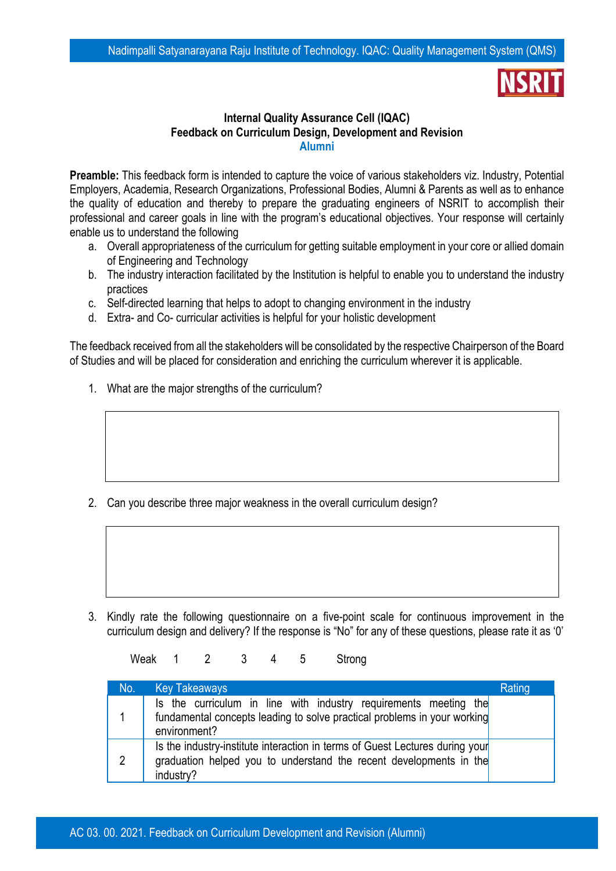## **Internal Quality Assurance Cell (IQAC) Feedback on Curriculum Design, Development and Revision Alumni**

**Preamble:** This feedback form is intended to capture the voice of various stakeholders viz. Industry, Potential Employers, Academia, Research Organizations, Professional Bodies, Alumni & Parents as well as to enhance the quality of education and thereby to prepare the graduating engineers of NSRIT to accomplish their professional and career goals in line with the program's educational objectives. Your response will certainly enable us to understand the following

- a. Overall appropriateness of the curriculum for getting suitable employment in your core or allied domain of Engineering and Technology
- b. The industry interaction facilitated by the Institution is helpful to enable you to understand the industry practices
- c. Self-directed learning that helps to adopt to changing environment in the industry
- d. Extra- and Co- curricular activities is helpful for your holistic development

The feedback received from all the stakeholders will be consolidated by the respective Chairperson of the Board of Studies and will be placed for consideration and enriching the curriculum wherever it is applicable.

1. What are the major strengths of the curriculum?

2. Can you describe three major weakness in the overall curriculum design?

3. Kindly rate the following questionnaire on a five-point scale for continuous improvement in the curriculum design and delivery? If the response is "No" for any of these questions, please rate it as '0'

Weak 1 2 3 4 5 Strong

| No. | <b>Key Takeaways</b>                                                                                                                                            | Rating |
|-----|-----------------------------------------------------------------------------------------------------------------------------------------------------------------|--------|
|     | Is the curriculum in line with industry requirements meeting the<br>fundamental concepts leading to solve practical problems in your working<br>environment?    |        |
| 2   | Is the industry-institute interaction in terms of Guest Lectures during your<br>graduation helped you to understand the recent developments in the<br>industry? |        |